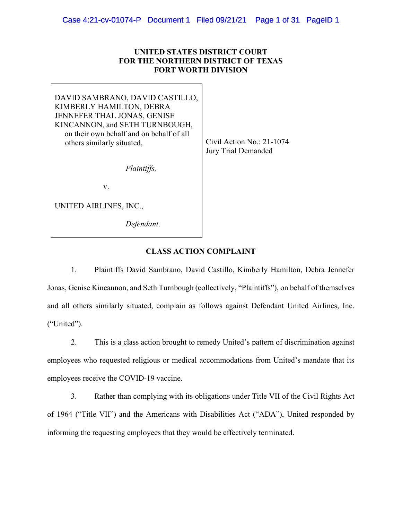## **UNITED STATES DISTRICT COURT FOR THE NORTHERN DISTRICT OF TEXAS FORT WORTH DIVISION**

DAVID SAMBRANO, DAVID CASTILLO, KIMBERLY HAMILTON, DEBRA JENNEFER THAL JONAS, GENISE KINCANNON, and SETH TURNBOUGH, on their own behalf and on behalf of all others similarly situated, Civil Action No.: 21-1074

*Plaintiffs,*

v.

UNITED AIRLINES, INC.,

*Defendant*.

Jury Trial Demanded

## **CLASS ACTION COMPLAINT**

1. Plaintiffs David Sambrano, David Castillo, Kimberly Hamilton, Debra Jennefer Jonas, Genise Kincannon, and Seth Turnbough (collectively, "Plaintiffs"), on behalf of themselves and all others similarly situated, complain as follows against Defendant United Airlines, Inc. ("United").

2. This is a class action brought to remedy United's pattern of discrimination against employees who requested religious or medical accommodations from United's mandate that its employees receive the COVID-19 vaccine.

3. Rather than complying with its obligations under Title VII of the Civil Rights Act of 1964 ("Title VII") and the Americans with Disabilities Act ("ADA"), United responded by informing the requesting employees that they would be effectively terminated.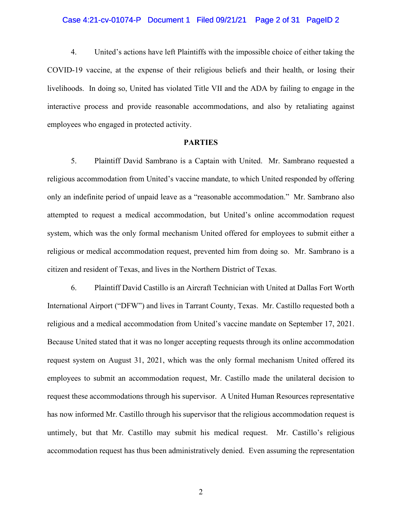#### Case 4:21-cv-01074-P Document 1 Filed 09/21/21 Page 2 of 31 PageID 2

4. United's actions have left Plaintiffs with the impossible choice of either taking the COVID-19 vaccine, at the expense of their religious beliefs and their health, or losing their livelihoods. In doing so, United has violated Title VII and the ADA by failing to engage in the interactive process and provide reasonable accommodations, and also by retaliating against employees who engaged in protected activity.

### **PARTIES**

5. Plaintiff David Sambrano is a Captain with United. Mr. Sambrano requested a religious accommodation from United's vaccine mandate, to which United responded by offering only an indefinite period of unpaid leave as a "reasonable accommodation." Mr. Sambrano also attempted to request a medical accommodation, but United's online accommodation request system, which was the only formal mechanism United offered for employees to submit either a religious or medical accommodation request, prevented him from doing so. Mr. Sambrano is a citizen and resident of Texas, and lives in the Northern District of Texas.

6. Plaintiff David Castillo is an Aircraft Technician with United at Dallas Fort Worth International Airport ("DFW") and lives in Tarrant County, Texas. Mr. Castillo requested both a religious and a medical accommodation from United's vaccine mandate on September 17, 2021. Because United stated that it was no longer accepting requests through its online accommodation request system on August 31, 2021, which was the only formal mechanism United offered its employees to submit an accommodation request, Mr. Castillo made the unilateral decision to request these accommodations through his supervisor. A United Human Resources representative has now informed Mr. Castillo through his supervisor that the religious accommodation request is untimely, but that Mr. Castillo may submit his medical request. Mr. Castillo's religious accommodation request has thus been administratively denied. Even assuming the representation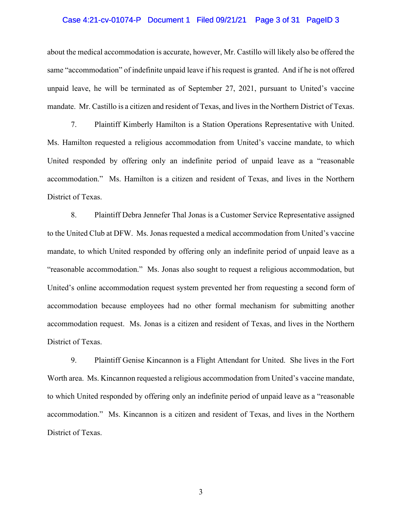#### Case 4:21-cv-01074-P Document 1 Filed 09/21/21 Page 3 of 31 PageID 3

about the medical accommodation is accurate, however, Mr. Castillo will likely also be offered the same "accommodation" of indefinite unpaid leave if his request is granted. And if he is not offered unpaid leave, he will be terminated as of September 27, 2021, pursuant to United's vaccine mandate. Mr. Castillo is a citizen and resident of Texas, and lives in the Northern District of Texas.

7. Plaintiff Kimberly Hamilton is a Station Operations Representative with United. Ms. Hamilton requested a religious accommodation from United's vaccine mandate, to which United responded by offering only an indefinite period of unpaid leave as a "reasonable accommodation." Ms. Hamilton is a citizen and resident of Texas, and lives in the Northern District of Texas.

8. Plaintiff Debra Jennefer Thal Jonas is a Customer Service Representative assigned to the United Club at DFW. Ms. Jonas requested a medical accommodation from United's vaccine mandate, to which United responded by offering only an indefinite period of unpaid leave as a "reasonable accommodation." Ms. Jonas also sought to request a religious accommodation, but United's online accommodation request system prevented her from requesting a second form of accommodation because employees had no other formal mechanism for submitting another accommodation request. Ms. Jonas is a citizen and resident of Texas, and lives in the Northern District of Texas.

9. Plaintiff Genise Kincannon is a Flight Attendant for United. She lives in the Fort Worth area. Ms. Kincannon requested a religious accommodation from United's vaccine mandate, to which United responded by offering only an indefinite period of unpaid leave as a "reasonable accommodation." Ms. Kincannon is a citizen and resident of Texas, and lives in the Northern District of Texas.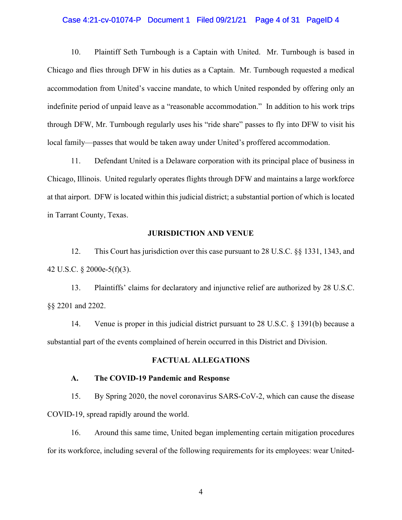#### Case 4:21-cv-01074-P Document 1 Filed 09/21/21 Page 4 of 31 PageID 4

10. Plaintiff Seth Turnbough is a Captain with United. Mr. Turnbough is based in Chicago and flies through DFW in his duties as a Captain. Mr. Turnbough requested a medical accommodation from United's vaccine mandate, to which United responded by offering only an indefinite period of unpaid leave as a "reasonable accommodation." In addition to his work trips through DFW, Mr. Turnbough regularly uses his "ride share" passes to fly into DFW to visit his local family—passes that would be taken away under United's proffered accommodation.

11. Defendant United is a Delaware corporation with its principal place of business in Chicago, Illinois. United regularly operates flights through DFW and maintains a large workforce at that airport. DFW is located within this judicial district; a substantial portion of which is located in Tarrant County, Texas.

#### **JURISDICTION AND VENUE**

12. This Court has jurisdiction over this case pursuant to 28 U.S.C. §§ 1331, 1343, and 42 U.S.C. § 2000e-5(f)(3).

13. Plaintiffs' claims for declaratory and injunctive relief are authorized by 28 U.S.C. §§ 2201 and 2202.

14. Venue is proper in this judicial district pursuant to 28 U.S.C. § 1391(b) because a substantial part of the events complained of herein occurred in this District and Division.

## **FACTUAL ALLEGATIONS**

#### **A. The COVID-19 Pandemic and Response**

15. By Spring 2020, the novel coronavirus SARS-CoV-2, which can cause the disease COVID-19, spread rapidly around the world.

16. Around this same time, United began implementing certain mitigation procedures for its workforce, including several of the following requirements for its employees: wear United-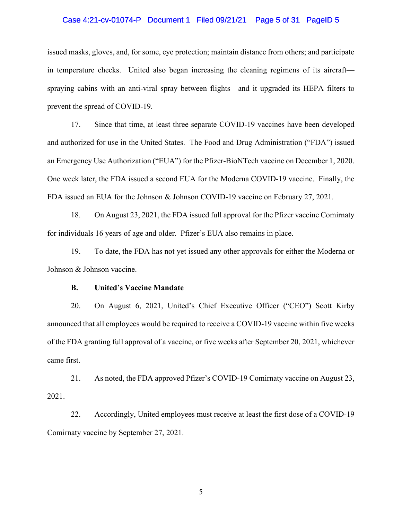## Case 4:21-cv-01074-P Document 1 Filed 09/21/21 Page 5 of 31 PageID 5

issued masks, gloves, and, for some, eye protection; maintain distance from others; and participate in temperature checks. United also began increasing the cleaning regimens of its aircraft spraying cabins with an anti-viral spray between flights—and it upgraded its HEPA filters to prevent the spread of COVID-19.

17. Since that time, at least three separate COVID-19 vaccines have been developed and authorized for use in the United States. The Food and Drug Administration ("FDA") issued an Emergency Use Authorization ("EUA") for the Pfizer-BioNTech vaccine on December 1, 2020. One week later, the FDA issued a second EUA for the Moderna COVID-19 vaccine. Finally, the FDA issued an EUA for the Johnson & Johnson COVID-19 vaccine on February 27, 2021.

18. On August 23, 2021, the FDA issued full approval for the Pfizer vaccine Comirnaty for individuals 16 years of age and older. Pfizer's EUA also remains in place.

19. To date, the FDA has not yet issued any other approvals for either the Moderna or Johnson & Johnson vaccine.

#### **B. United's Vaccine Mandate**

20. On August 6, 2021, United's Chief Executive Officer ("CEO") Scott Kirby announced that all employees would be required to receive a COVID-19 vaccine within five weeks of the FDA granting full approval of a vaccine, or five weeks after September 20, 2021, whichever came first.

21. As noted, the FDA approved Pfizer's COVID-19 Comirnaty vaccine on August 23, 2021.

22. Accordingly, United employees must receive at least the first dose of a COVID-19 Comirnaty vaccine by September 27, 2021.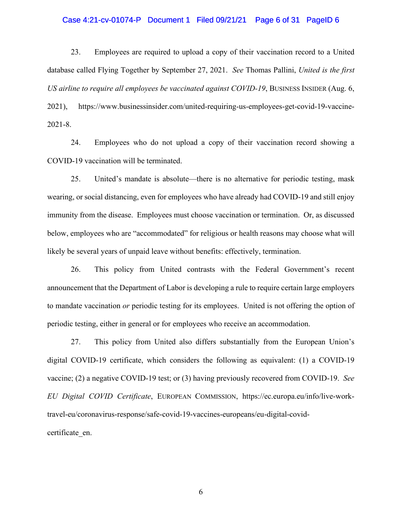#### Case 4:21-cv-01074-P Document 1 Filed 09/21/21 Page 6 of 31 PageID 6

23. Employees are required to upload a copy of their vaccination record to a United database called Flying Together by September 27, 2021. *See* Thomas Pallini, *United is the first US airline to require all employees be vaccinated against COVID-19*, BUSINESS INSIDER (Aug. 6, 2021), https://www.businessinsider.com/united-requiring-us-employees-get-covid-19-vaccine-2021-8.

24. Employees who do not upload a copy of their vaccination record showing a COVID-19 vaccination will be terminated.

25. United's mandate is absolute—there is no alternative for periodic testing, mask wearing, or social distancing, even for employees who have already had COVID-19 and still enjoy immunity from the disease. Employees must choose vaccination or termination. Or, as discussed below, employees who are "accommodated" for religious or health reasons may choose what will likely be several years of unpaid leave without benefits: effectively, termination.

26. This policy from United contrasts with the Federal Government's recent announcement that the Department of Labor is developing a rule to require certain large employers to mandate vaccination *or* periodic testing for its employees. United is not offering the option of periodic testing, either in general or for employees who receive an accommodation.

27. This policy from United also differs substantially from the European Union's digital COVID-19 certificate, which considers the following as equivalent: (1) a COVID-19 vaccine; (2) a negative COVID-19 test; or (3) having previously recovered from COVID-19. *See EU Digital COVID Certificate*, EUROPEAN COMMISSION, https://ec.europa.eu/info/live-worktravel-eu/coronavirus-response/safe-covid-19-vaccines-europeans/eu-digital-covidcertificate\_en.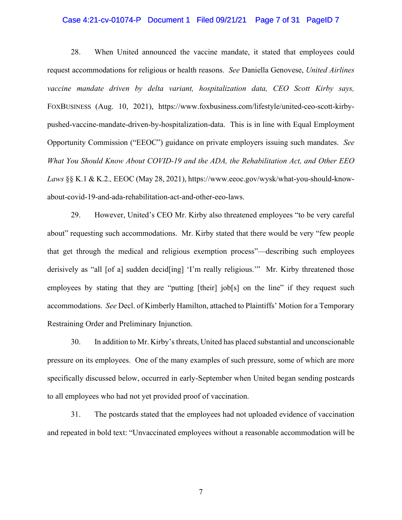## Case 4:21-cv-01074-P Document 1 Filed 09/21/21 Page 7 of 31 PageID 7

28. When United announced the vaccine mandate, it stated that employees could request accommodations for religious or health reasons. *See* Daniella Genovese, *United Airlines vaccine mandate driven by delta variant, hospitalization data, CEO Scott Kirby says,* FOXBUSINESS (Aug. 10, 2021), https://www.foxbusiness.com/lifestyle/united-ceo-scott-kirbypushed-vaccine-mandate-driven-by-hospitalization-data. This is in line with Equal Employment Opportunity Commission ("EEOC") guidance on private employers issuing such mandates. *See What You Should Know About COVID-19 and the ADA, the Rehabilitation Act, and Other EEO Laws* §§ K.1 & K.2.*,* EEOC (May 28, 2021), https://www.eeoc.gov/wysk/what-you-should-knowabout-covid-19-and-ada-rehabilitation-act-and-other-eeo-laws.

29. However, United's CEO Mr. Kirby also threatened employees "to be very careful about" requesting such accommodations. Mr. Kirby stated that there would be very "few people that get through the medical and religious exemption process"—describing such employees derisively as "all [of a] sudden decid[ing] 'I'm really religious.'" Mr. Kirby threatened those employees by stating that they are "putting [their] job[s] on the line" if they request such accommodations. *See* Decl. of Kimberly Hamilton, attached to Plaintiffs' Motion for a Temporary Restraining Order and Preliminary Injunction.

30. In addition to Mr. Kirby's threats, United has placed substantial and unconscionable pressure on its employees. One of the many examples of such pressure, some of which are more specifically discussed below, occurred in early-September when United began sending postcards to all employees who had not yet provided proof of vaccination.

31. The postcards stated that the employees had not uploaded evidence of vaccination and repeated in bold text: "Unvaccinated employees without a reasonable accommodation will be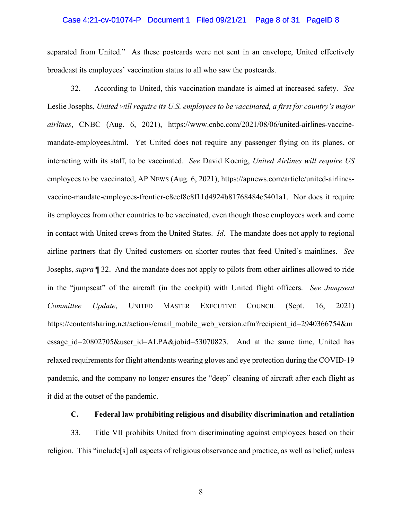#### Case 4:21-cv-01074-P Document 1 Filed 09/21/21 Page 8 of 31 PageID 8

separated from United." As these postcards were not sent in an envelope, United effectively broadcast its employees' vaccination status to all who saw the postcards.

32. According to United, this vaccination mandate is aimed at increased safety. *See*  Leslie Josephs, *United will require its U.S. employees to be vaccinated, a first for country's major airlines*, CNBC (Aug. 6, 2021), https://www.cnbc.com/2021/08/06/united-airlines-vaccinemandate-employees.html. Yet United does not require any passenger flying on its planes, or interacting with its staff, to be vaccinated. *See* David Koenig, *United Airlines will require US*  employees to be vaccinated, AP NEWS (Aug. 6, 2021), https://apnews.com/article/united-airlinesvaccine-mandate-employees-frontier-e8eef8e8f11d4924b81768484e5401a1. Nor does it require its employees from other countries to be vaccinated, even though those employees work and come in contact with United crews from the United States. *Id*. The mandate does not apply to regional airline partners that fly United customers on shorter routes that feed United's mainlines. *See*  Josephs, *supra* ¶ 32. And the mandate does not apply to pilots from other airlines allowed to ride in the "jumpseat" of the aircraft (in the cockpit) with United flight officers. *See Jumpseat Committee Update*, UNITED MASTER EXECUTIVE COUNCIL (Sept. 16, 2021) https://contentsharing.net/actions/email\_mobile\_web\_version.cfm?recipient\_id=2940366754&m essage id=20802705&user id=ALPA&jobid=53070823. And at the same time, United has relaxed requirements for flight attendants wearing gloves and eye protection during the COVID-19 pandemic, and the company no longer ensures the "deep" cleaning of aircraft after each flight as it did at the outset of the pandemic.

## **C. Federal law prohibiting religious and disability discrimination and retaliation**

33. Title VII prohibits United from discriminating against employees based on their religion. This "include[s] all aspects of religious observance and practice, as well as belief, unless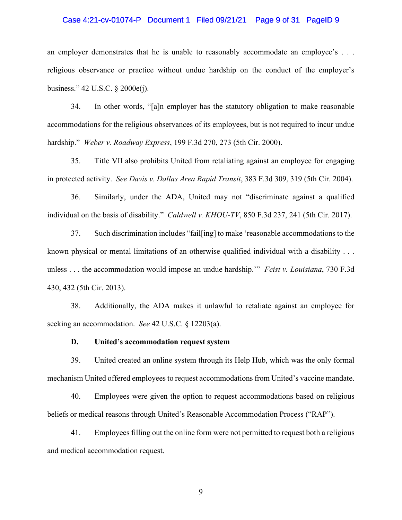#### Case 4:21-cv-01074-P Document 1 Filed 09/21/21 Page 9 of 31 PageID 9

an employer demonstrates that he is unable to reasonably accommodate an employee's . . . religious observance or practice without undue hardship on the conduct of the employer's business." 42 U.S.C. § 2000e(j).

34. In other words, "[a]n employer has the statutory obligation to make reasonable accommodations for the religious observances of its employees, but is not required to incur undue hardship." *Weber v. Roadway Express*, 199 F.3d 270, 273 (5th Cir. 2000).

35. Title VII also prohibits United from retaliating against an employee for engaging in protected activity. *See Davis v. Dallas Area Rapid Transit*, 383 F.3d 309, 319 (5th Cir. 2004).

36. Similarly, under the ADA, United may not "discriminate against a qualified individual on the basis of disability." *Caldwell v. KHOU-TV*, 850 F.3d 237, 241 (5th Cir. 2017).

37. Such discrimination includes "fail[ing] to make 'reasonable accommodations to the known physical or mental limitations of an otherwise qualified individual with a disability . . . unless . . . the accommodation would impose an undue hardship.'" *Feist v. Louisiana*, 730 F.3d 430, 432 (5th Cir. 2013).

38. Additionally, the ADA makes it unlawful to retaliate against an employee for seeking an accommodation. *See* 42 U.S.C. § 12203(a).

### **D. United's accommodation request system**

39. United created an online system through its Help Hub, which was the only formal mechanism United offered employees to request accommodations from United's vaccine mandate.

40. Employees were given the option to request accommodations based on religious beliefs or medical reasons through United's Reasonable Accommodation Process ("RAP").

41. Employees filling out the online form were not permitted to request both a religious and medical accommodation request.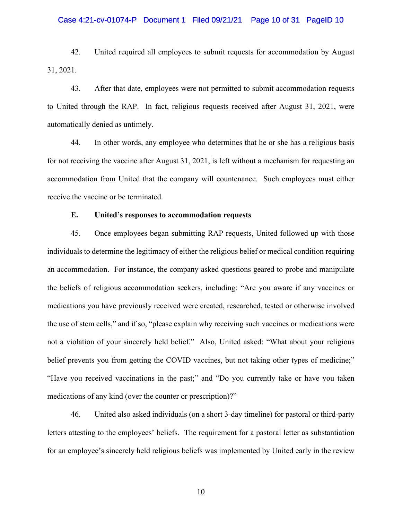#### Case 4:21-cv-01074-P Document 1 Filed 09/21/21 Page 10 of 31 PageID 10

42. United required all employees to submit requests for accommodation by August 31, 2021.

43. After that date, employees were not permitted to submit accommodation requests to United through the RAP. In fact, religious requests received after August 31, 2021, were automatically denied as untimely.

44. In other words, any employee who determines that he or she has a religious basis for not receiving the vaccine after August 31, 2021, is left without a mechanism for requesting an accommodation from United that the company will countenance. Such employees must either receive the vaccine or be terminated.

## **E. United's responses to accommodation requests**

45. Once employees began submitting RAP requests, United followed up with those individuals to determine the legitimacy of either the religious belief or medical condition requiring an accommodation. For instance, the company asked questions geared to probe and manipulate the beliefs of religious accommodation seekers, including: "Are you aware if any vaccines or medications you have previously received were created, researched, tested or otherwise involved the use of stem cells," and if so, "please explain why receiving such vaccines or medications were not a violation of your sincerely held belief." Also, United asked: "What about your religious belief prevents you from getting the COVID vaccines, but not taking other types of medicine;" "Have you received vaccinations in the past;" and "Do you currently take or have you taken medications of any kind (over the counter or prescription)?"

46. United also asked individuals (on a short 3-day timeline) for pastoral or third-party letters attesting to the employees' beliefs. The requirement for a pastoral letter as substantiation for an employee's sincerely held religious beliefs was implemented by United early in the review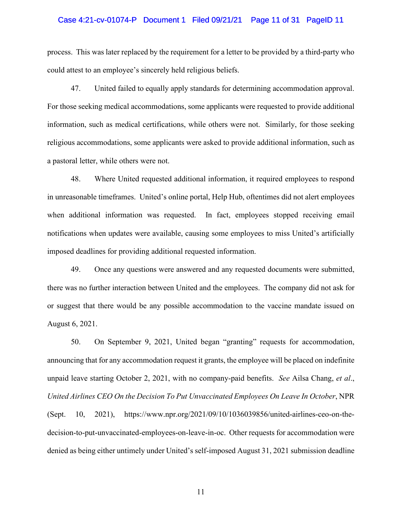#### Case 4:21-cv-01074-P Document 1 Filed 09/21/21 Page 11 of 31 PageID 11

process. This was later replaced by the requirement for a letter to be provided by a third-party who could attest to an employee's sincerely held religious beliefs.

47. United failed to equally apply standards for determining accommodation approval. For those seeking medical accommodations, some applicants were requested to provide additional information, such as medical certifications, while others were not. Similarly, for those seeking religious accommodations, some applicants were asked to provide additional information, such as a pastoral letter, while others were not.

48. Where United requested additional information, it required employees to respond in unreasonable timeframes. United's online portal, Help Hub, oftentimes did not alert employees when additional information was requested. In fact, employees stopped receiving email notifications when updates were available, causing some employees to miss United's artificially imposed deadlines for providing additional requested information.

49. Once any questions were answered and any requested documents were submitted, there was no further interaction between United and the employees. The company did not ask for or suggest that there would be any possible accommodation to the vaccine mandate issued on August 6, 2021.

50. On September 9, 2021, United began "granting" requests for accommodation, announcing that for any accommodation request it grants, the employee will be placed on indefinite unpaid leave starting October 2, 2021, with no company-paid benefits. *See* Ailsa Chang, *et al*., *United Airlines CEO On the Decision To Put Unvaccinated Employees On Leave In October*, NPR (Sept. 10, 2021), https://www.npr.org/2021/09/10/1036039856/united-airlines-ceo-on-thedecision-to-put-unvaccinated-employees-on-leave-in-oc. Other requests for accommodation were denied as being either untimely under United's self-imposed August 31, 2021 submission deadline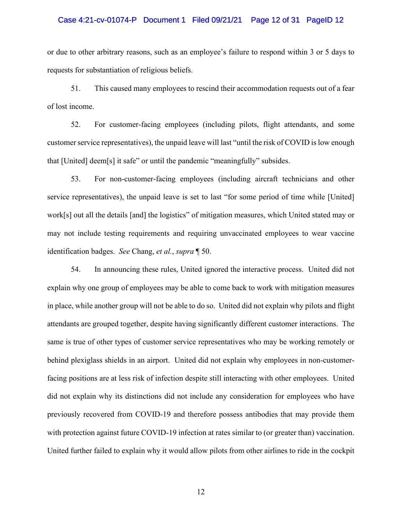#### Case 4:21-cv-01074-P Document 1 Filed 09/21/21 Page 12 of 31 PageID 12

or due to other arbitrary reasons, such as an employee's failure to respond within 3 or 5 days to requests for substantiation of religious beliefs.

51. This caused many employees to rescind their accommodation requests out of a fear of lost income.

52. For customer-facing employees (including pilots, flight attendants, and some customer service representatives), the unpaid leave will last "until the risk of COVID is low enough that [United] deem[s] it safe" or until the pandemic "meaningfully" subsides.

53. For non-customer-facing employees (including aircraft technicians and other service representatives), the unpaid leave is set to last "for some period of time while [United] work[s] out all the details [and] the logistics" of mitigation measures, which United stated may or may not include testing requirements and requiring unvaccinated employees to wear vaccine identification badges. *See* Chang, *et al.*, *supra* ¶ 50.

54. In announcing these rules, United ignored the interactive process. United did not explain why one group of employees may be able to come back to work with mitigation measures in place, while another group will not be able to do so. United did not explain why pilots and flight attendants are grouped together, despite having significantly different customer interactions. The same is true of other types of customer service representatives who may be working remotely or behind plexiglass shields in an airport. United did not explain why employees in non-customerfacing positions are at less risk of infection despite still interacting with other employees. United did not explain why its distinctions did not include any consideration for employees who have previously recovered from COVID-19 and therefore possess antibodies that may provide them with protection against future COVID-19 infection at rates similar to (or greater than) vaccination. United further failed to explain why it would allow pilots from other airlines to ride in the cockpit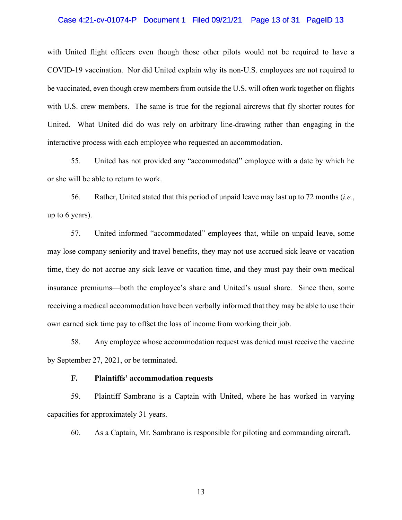#### Case 4:21-cv-01074-P Document 1 Filed 09/21/21 Page 13 of 31 PageID 13

with United flight officers even though those other pilots would not be required to have a COVID-19 vaccination. Nor did United explain why its non-U.S. employees are not required to be vaccinated, even though crew members from outside the U.S. will often work together on flights with U.S. crew members. The same is true for the regional aircrews that fly shorter routes for United. What United did do was rely on arbitrary line-drawing rather than engaging in the interactive process with each employee who requested an accommodation.

55. United has not provided any "accommodated" employee with a date by which he or she will be able to return to work.

56. Rather, United stated that this period of unpaid leave may last up to 72 months (*i.e.*, up to 6 years).

57. United informed "accommodated" employees that, while on unpaid leave, some may lose company seniority and travel benefits, they may not use accrued sick leave or vacation time, they do not accrue any sick leave or vacation time, and they must pay their own medical insurance premiums—both the employee's share and United's usual share. Since then, some receiving a medical accommodation have been verbally informed that they may be able to use their own earned sick time pay to offset the loss of income from working their job.

58. Any employee whose accommodation request was denied must receive the vaccine by September 27, 2021, or be terminated.

## **F. Plaintiffs' accommodation requests**

59. Plaintiff Sambrano is a Captain with United, where he has worked in varying capacities for approximately 31 years.

60. As a Captain, Mr. Sambrano is responsible for piloting and commanding aircraft.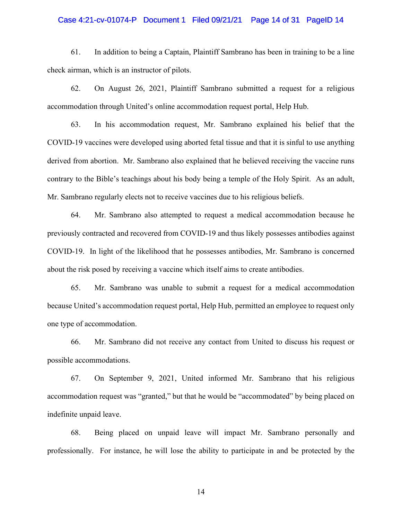## Case 4:21-cv-01074-P Document 1 Filed 09/21/21 Page 14 of 31 PageID 14

61. In addition to being a Captain, Plaintiff Sambrano has been in training to be a line check airman, which is an instructor of pilots.

62. On August 26, 2021, Plaintiff Sambrano submitted a request for a religious accommodation through United's online accommodation request portal, Help Hub.

63. In his accommodation request, Mr. Sambrano explained his belief that the COVID-19 vaccines were developed using aborted fetal tissue and that it is sinful to use anything derived from abortion. Mr. Sambrano also explained that he believed receiving the vaccine runs contrary to the Bible's teachings about his body being a temple of the Holy Spirit. As an adult, Mr. Sambrano regularly elects not to receive vaccines due to his religious beliefs.

64. Mr. Sambrano also attempted to request a medical accommodation because he previously contracted and recovered from COVID-19 and thus likely possesses antibodies against COVID-19. In light of the likelihood that he possesses antibodies, Mr. Sambrano is concerned about the risk posed by receiving a vaccine which itself aims to create antibodies.

65. Mr. Sambrano was unable to submit a request for a medical accommodation because United's accommodation request portal, Help Hub, permitted an employee to request only one type of accommodation.

66. Mr. Sambrano did not receive any contact from United to discuss his request or possible accommodations.

67. On September 9, 2021, United informed Mr. Sambrano that his religious accommodation request was "granted," but that he would be "accommodated" by being placed on indefinite unpaid leave.

68. Being placed on unpaid leave will impact Mr. Sambrano personally and professionally. For instance, he will lose the ability to participate in and be protected by the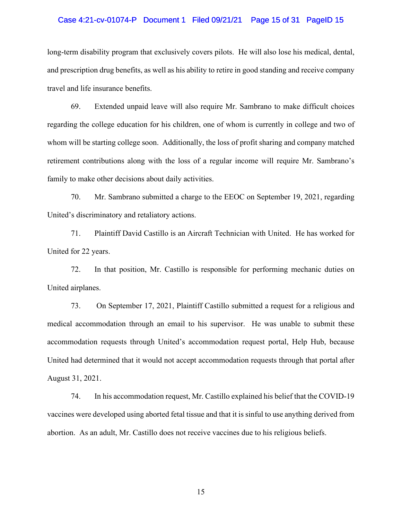#### Case 4:21-cv-01074-P Document 1 Filed 09/21/21 Page 15 of 31 PageID 15

long-term disability program that exclusively covers pilots. He will also lose his medical, dental, and prescription drug benefits, as well as his ability to retire in good standing and receive company travel and life insurance benefits.

69. Extended unpaid leave will also require Mr. Sambrano to make difficult choices regarding the college education for his children, one of whom is currently in college and two of whom will be starting college soon. Additionally, the loss of profit sharing and company matched retirement contributions along with the loss of a regular income will require Mr. Sambrano's family to make other decisions about daily activities.

70. Mr. Sambrano submitted a charge to the EEOC on September 19, 2021, regarding United's discriminatory and retaliatory actions.

71. Plaintiff David Castillo is an Aircraft Technician with United. He has worked for United for 22 years.

72. In that position, Mr. Castillo is responsible for performing mechanic duties on United airplanes.

73. On September 17, 2021, Plaintiff Castillo submitted a request for a religious and medical accommodation through an email to his supervisor. He was unable to submit these accommodation requests through United's accommodation request portal, Help Hub, because United had determined that it would not accept accommodation requests through that portal after August 31, 2021.

74. In his accommodation request, Mr. Castillo explained his belief that the COVID-19 vaccines were developed using aborted fetal tissue and that it is sinful to use anything derived from abortion. As an adult, Mr. Castillo does not receive vaccines due to his religious beliefs.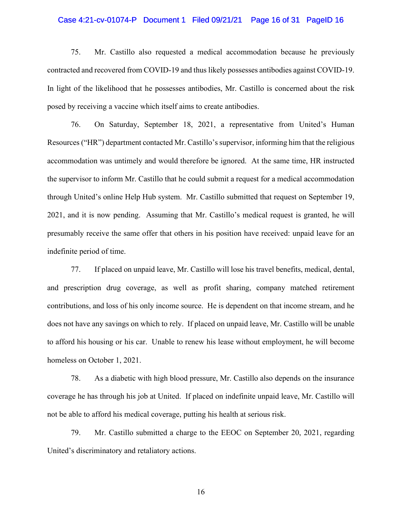#### Case 4:21-cv-01074-P Document 1 Filed 09/21/21 Page 16 of 31 PageID 16

75. Mr. Castillo also requested a medical accommodation because he previously contracted and recovered from COVID-19 and thus likely possesses antibodies against COVID-19. In light of the likelihood that he possesses antibodies, Mr. Castillo is concerned about the risk posed by receiving a vaccine which itself aims to create antibodies.

76. On Saturday, September 18, 2021, a representative from United's Human Resources ("HR") department contacted Mr. Castillo's supervisor, informing him that the religious accommodation was untimely and would therefore be ignored. At the same time, HR instructed the supervisor to inform Mr. Castillo that he could submit a request for a medical accommodation through United's online Help Hub system. Mr. Castillo submitted that request on September 19, 2021, and it is now pending. Assuming that Mr. Castillo's medical request is granted, he will presumably receive the same offer that others in his position have received: unpaid leave for an indefinite period of time.

77. If placed on unpaid leave, Mr. Castillo will lose his travel benefits, medical, dental, and prescription drug coverage, as well as profit sharing, company matched retirement contributions, and loss of his only income source. He is dependent on that income stream, and he does not have any savings on which to rely. If placed on unpaid leave, Mr. Castillo will be unable to afford his housing or his car. Unable to renew his lease without employment, he will become homeless on October 1, 2021.

78. As a diabetic with high blood pressure, Mr. Castillo also depends on the insurance coverage he has through his job at United. If placed on indefinite unpaid leave, Mr. Castillo will not be able to afford his medical coverage, putting his health at serious risk.

79. Mr. Castillo submitted a charge to the EEOC on September 20, 2021, regarding United's discriminatory and retaliatory actions.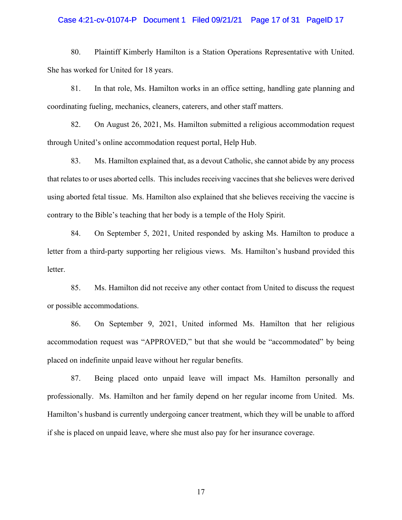#### Case 4:21-cv-01074-P Document 1 Filed 09/21/21 Page 17 of 31 PageID 17

80. Plaintiff Kimberly Hamilton is a Station Operations Representative with United. She has worked for United for 18 years.

81. In that role, Ms. Hamilton works in an office setting, handling gate planning and coordinating fueling, mechanics, cleaners, caterers, and other staff matters.

82. On August 26, 2021, Ms. Hamilton submitted a religious accommodation request through United's online accommodation request portal, Help Hub.

83. Ms. Hamilton explained that, as a devout Catholic, she cannot abide by any process that relates to or uses aborted cells. This includes receiving vaccines that she believes were derived using aborted fetal tissue. Ms. Hamilton also explained that she believes receiving the vaccine is contrary to the Bible's teaching that her body is a temple of the Holy Spirit.

84. On September 5, 2021, United responded by asking Ms. Hamilton to produce a letter from a third-party supporting her religious views. Ms. Hamilton's husband provided this letter.

85. Ms. Hamilton did not receive any other contact from United to discuss the request or possible accommodations.

86. On September 9, 2021, United informed Ms. Hamilton that her religious accommodation request was "APPROVED," but that she would be "accommodated" by being placed on indefinite unpaid leave without her regular benefits.

87. Being placed onto unpaid leave will impact Ms. Hamilton personally and professionally. Ms. Hamilton and her family depend on her regular income from United. Ms. Hamilton's husband is currently undergoing cancer treatment, which they will be unable to afford if she is placed on unpaid leave, where she must also pay for her insurance coverage.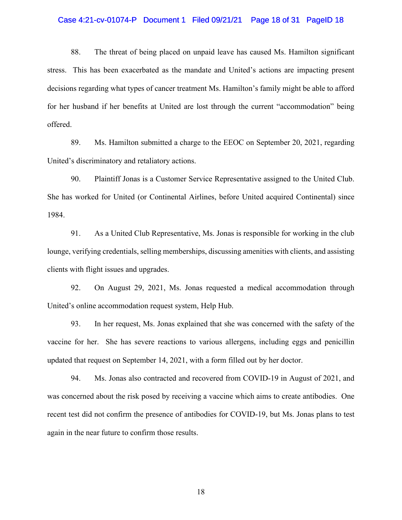#### Case 4:21-cv-01074-P Document 1 Filed 09/21/21 Page 18 of 31 PageID 18

88. The threat of being placed on unpaid leave has caused Ms. Hamilton significant stress. This has been exacerbated as the mandate and United's actions are impacting present decisions regarding what types of cancer treatment Ms. Hamilton's family might be able to afford for her husband if her benefits at United are lost through the current "accommodation" being offered.

89. Ms. Hamilton submitted a charge to the EEOC on September 20, 2021, regarding United's discriminatory and retaliatory actions.

90. Plaintiff Jonas is a Customer Service Representative assigned to the United Club. She has worked for United (or Continental Airlines, before United acquired Continental) since 1984.

91. As a United Club Representative, Ms. Jonas is responsible for working in the club lounge, verifying credentials, selling memberships, discussing amenities with clients, and assisting clients with flight issues and upgrades.

92. On August 29, 2021, Ms. Jonas requested a medical accommodation through United's online accommodation request system, Help Hub.

93. In her request, Ms. Jonas explained that she was concerned with the safety of the vaccine for her. She has severe reactions to various allergens, including eggs and penicillin updated that request on September 14, 2021, with a form filled out by her doctor.

94. Ms. Jonas also contracted and recovered from COVID-19 in August of 2021, and was concerned about the risk posed by receiving a vaccine which aims to create antibodies. One recent test did not confirm the presence of antibodies for COVID-19, but Ms. Jonas plans to test again in the near future to confirm those results.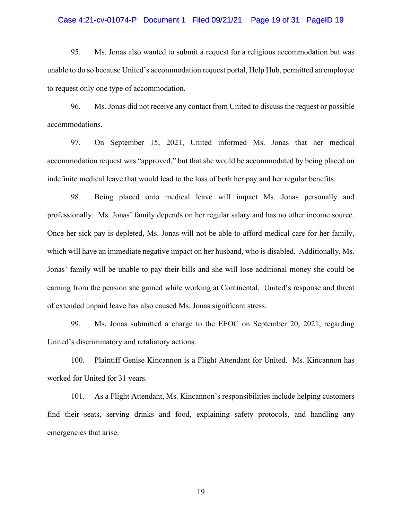## Case 4:21-cv-01074-P Document 1 Filed 09/21/21 Page 19 of 31 PageID 19

95. Ms. Jonas also wanted to submit a request for a religious accommodation but was unable to do so because United's accommodation request portal, Help Hub, permitted an employee to request only one type of accommodation.

96. Ms. Jonas did not receive any contact from United to discuss the request or possible accommodations.

97. On September 15, 2021, United informed Ms. Jonas that her medical accommodation request was "approved," but that she would be accommodated by being placed on indefinite medical leave that would lead to the loss of both her pay and her regular benefits.

98. Being placed onto medical leave will impact Ms. Jonas personally and professionally. Ms. Jonas' family depends on her regular salary and has no other income source. Once her sick pay is depleted, Ms. Jonas will not be able to afford medical care for her family, which will have an immediate negative impact on her husband, who is disabled. Additionally, Ms. Jonas' family will be unable to pay their bills and she will lose additional money she could be earning from the pension she gained while working at Continental. United's response and threat of extended unpaid leave has also caused Ms. Jonas significant stress.

99. Ms. Jonas submitted a charge to the EEOC on September 20, 2021, regarding United's discriminatory and retaliatory actions.

100. Plaintiff Genise Kincannon is a Flight Attendant for United. Ms. Kincannon has worked for United for 31 years.

101. As a Flight Attendant, Ms. Kincannon's responsibilities include helping customers find their seats, serving drinks and food, explaining safety protocols, and handling any emergencies that arise.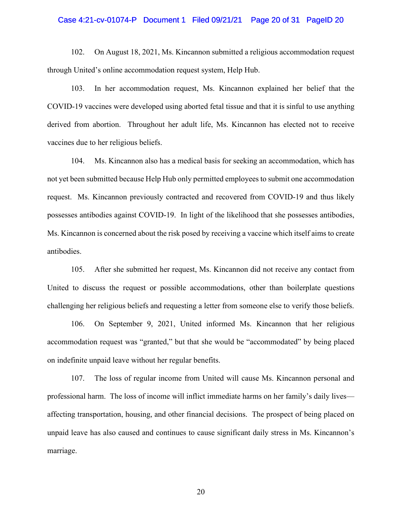#### Case 4:21-cv-01074-P Document 1 Filed 09/21/21 Page 20 of 31 PageID 20

102. On August 18, 2021, Ms. Kincannon submitted a religious accommodation request through United's online accommodation request system, Help Hub.

103. In her accommodation request, Ms. Kincannon explained her belief that the COVID-19 vaccines were developed using aborted fetal tissue and that it is sinful to use anything derived from abortion. Throughout her adult life, Ms. Kincannon has elected not to receive vaccines due to her religious beliefs.

104. Ms. Kincannon also has a medical basis for seeking an accommodation, which has not yet been submitted because Help Hub only permitted employees to submit one accommodation request. Ms. Kincannon previously contracted and recovered from COVID-19 and thus likely possesses antibodies against COVID-19. In light of the likelihood that she possesses antibodies, Ms. Kincannon is concerned about the risk posed by receiving a vaccine which itself aims to create antibodies.

105. After she submitted her request, Ms. Kincannon did not receive any contact from United to discuss the request or possible accommodations, other than boilerplate questions challenging her religious beliefs and requesting a letter from someone else to verify those beliefs.

106. On September 9, 2021, United informed Ms. Kincannon that her religious accommodation request was "granted," but that she would be "accommodated" by being placed on indefinite unpaid leave without her regular benefits.

107. The loss of regular income from United will cause Ms. Kincannon personal and professional harm. The loss of income will inflict immediate harms on her family's daily lives affecting transportation, housing, and other financial decisions. The prospect of being placed on unpaid leave has also caused and continues to cause significant daily stress in Ms. Kincannon's marriage.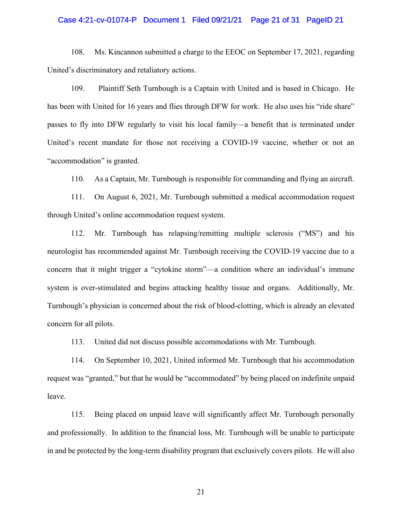#### Case 4:21-cv-01074-P Document 1 Filed 09/21/21 Page 21 of 31 PageID 21

108. Ms. Kincannon submitted a charge to the EEOC on September 17, 2021, regarding United's discriminatory and retaliatory actions.

109. Plaintiff Seth Turnbough is a Captain with United and is based in Chicago. He has been with United for 16 years and flies through DFW for work. He also uses his "ride share" passes to fly into DFW regularly to visit his local family—a benefit that is terminated under United's recent mandate for those not receiving a COVID-19 vaccine, whether or not an "accommodation" is granted.

110. As a Captain, Mr. Turnbough is responsible for commanding and flying an aircraft.

111. On August 6, 2021, Mr. Turnbough submitted a medical accommodation request through United's online accommodation request system.

112. Mr. Turnbough has relapsing/remitting multiple sclerosis ("MS") and his neurologist has recommended against Mr. Turnbough receiving the COVID-19 vaccine due to a concern that it might trigger a "cytokine storm"—a condition where an individual's immune system is over-stimulated and begins attacking healthy tissue and organs. Additionally, Mr. Turnbough's physician is concerned about the risk of blood-clotting, which is already an elevated concern for all pilots.

113. United did not discuss possible accommodations with Mr. Turnbough.

114. On September 10, 2021, United informed Mr. Turnbough that his accommodation request was "granted," but that he would be "accommodated" by being placed on indefinite unpaid leave.

115. Being placed on unpaid leave will significantly affect Mr. Turnbough personally and professionally. In addition to the financial loss, Mr. Turnbough will be unable to participate in and be protected by the long-term disability program that exclusively covers pilots. He will also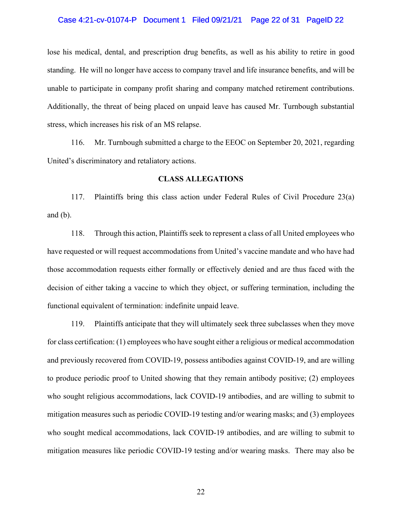#### Case 4:21-cv-01074-P Document 1 Filed 09/21/21 Page 22 of 31 PageID 22

lose his medical, dental, and prescription drug benefits, as well as his ability to retire in good standing. He will no longer have access to company travel and life insurance benefits, and will be unable to participate in company profit sharing and company matched retirement contributions. Additionally, the threat of being placed on unpaid leave has caused Mr. Turnbough substantial stress, which increases his risk of an MS relapse.

116. Mr. Turnbough submitted a charge to the EEOC on September 20, 2021, regarding United's discriminatory and retaliatory actions.

### **CLASS ALLEGATIONS**

117. Plaintiffs bring this class action under Federal Rules of Civil Procedure 23(a) and (b).

118. Through this action, Plaintiffs seek to represent a class of all United employees who have requested or will request accommodations from United's vaccine mandate and who have had those accommodation requests either formally or effectively denied and are thus faced with the decision of either taking a vaccine to which they object, or suffering termination, including the functional equivalent of termination: indefinite unpaid leave.

119. Plaintiffs anticipate that they will ultimately seek three subclasses when they move for class certification: (1) employees who have sought either a religious or medical accommodation and previously recovered from COVID-19, possess antibodies against COVID-19, and are willing to produce periodic proof to United showing that they remain antibody positive; (2) employees who sought religious accommodations, lack COVID-19 antibodies, and are willing to submit to mitigation measures such as periodic COVID-19 testing and/or wearing masks; and (3) employees who sought medical accommodations, lack COVID-19 antibodies, and are willing to submit to mitigation measures like periodic COVID-19 testing and/or wearing masks. There may also be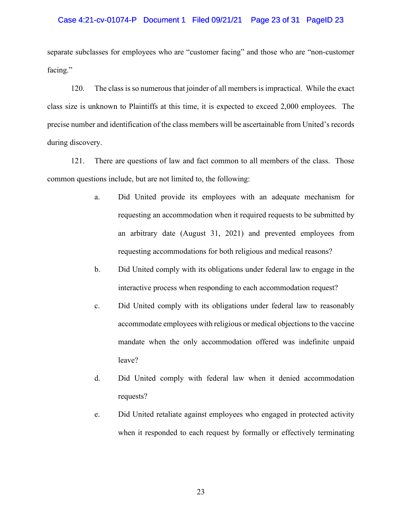#### Case 4:21-cv-01074-P Document 1 Filed 09/21/21 Page 23 of 31 PageID 23

separate subclasses for employees who are "customer facing" and those who are "non-customer facing."

120. The class is so numerous that joinder of all members is impractical. While the exact class size is unknown to Plaintiffs at this time, it is expected to exceed 2,000 employees. The precise number and identification of the class members will be ascertainable from United's records during discovery.

121. There are questions of law and fact common to all members of the class. Those common questions include, but are not limited to, the following:

- a. Did United provide its employees with an adequate mechanism for requesting an accommodation when it required requests to be submitted by an arbitrary date (August 31, 2021) and prevented employees from requesting accommodations for both religious and medical reasons?
- b. Did United comply with its obligations under federal law to engage in the interactive process when responding to each accommodation request?
- c. Did United comply with its obligations under federal law to reasonably accommodate employees with religious or medical objections to the vaccine mandate when the only accommodation offered was indefinite unpaid leave?
- d. Did United comply with federal law when it denied accommodation requests?
- e. Did United retaliate against employees who engaged in protected activity when it responded to each request by formally or effectively terminating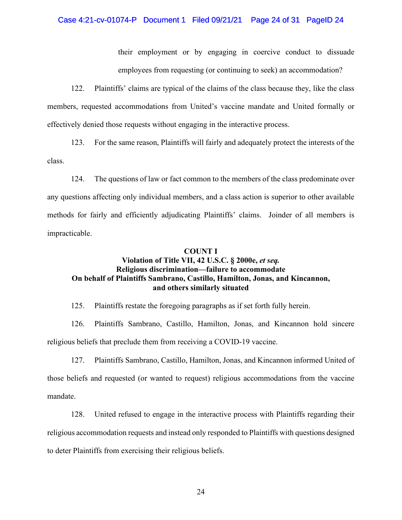#### Case 4:21-cv-01074-P Document 1 Filed 09/21/21 Page 24 of 31 PageID 24

their employment or by engaging in coercive conduct to dissuade employees from requesting (or continuing to seek) an accommodation?

122. Plaintiffs' claims are typical of the claims of the class because they, like the class members, requested accommodations from United's vaccine mandate and United formally or effectively denied those requests without engaging in the interactive process.

123. For the same reason, Plaintiffs will fairly and adequately protect the interests of the class.

124. The questions of law or fact common to the members of the class predominate over any questions affecting only individual members, and a class action is superior to other available methods for fairly and efficiently adjudicating Plaintiffs' claims. Joinder of all members is impracticable.

## **COUNT I**

## **Violation of Title VII, 42 U.S.C. § 2000e,** *et seq.* **Religious discrimination—failure to accommodate On behalf of Plaintiffs Sambrano, Castillo, Hamilton, Jonas, and Kincannon, and others similarly situated**

125. Plaintiffs restate the foregoing paragraphs as if set forth fully herein.

126. Plaintiffs Sambrano, Castillo, Hamilton, Jonas, and Kincannon hold sincere religious beliefs that preclude them from receiving a COVID-19 vaccine.

127. Plaintiffs Sambrano, Castillo, Hamilton, Jonas, and Kincannon informed United of those beliefs and requested (or wanted to request) religious accommodations from the vaccine mandate.

128. United refused to engage in the interactive process with Plaintiffs regarding their religious accommodation requests and instead only responded to Plaintiffs with questions designed to deter Plaintiffs from exercising their religious beliefs.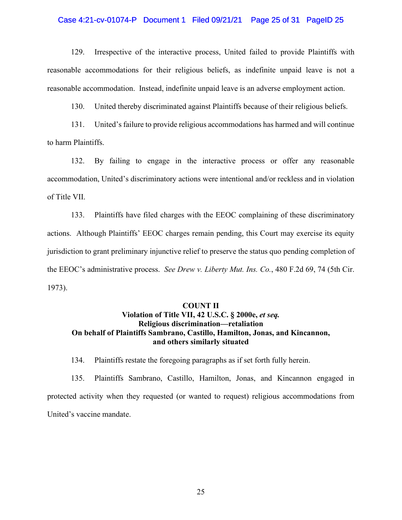#### Case 4:21-cv-01074-P Document 1 Filed 09/21/21 Page 25 of 31 PageID 25

129. Irrespective of the interactive process, United failed to provide Plaintiffs with reasonable accommodations for their religious beliefs, as indefinite unpaid leave is not a reasonable accommodation. Instead, indefinite unpaid leave is an adverse employment action.

130. United thereby discriminated against Plaintiffs because of their religious beliefs.

131. United's failure to provide religious accommodations has harmed and will continue to harm Plaintiffs.

132. By failing to engage in the interactive process or offer any reasonable accommodation, United's discriminatory actions were intentional and/or reckless and in violation of Title VII.

133. Plaintiffs have filed charges with the EEOC complaining of these discriminatory actions. Although Plaintiffs' EEOC charges remain pending, this Court may exercise its equity jurisdiction to grant preliminary injunctive relief to preserve the status quo pending completion of the EEOC's administrative process. *See Drew v. Liberty Mut. Ins. Co.*, 480 F.2d 69, 74 (5th Cir. 1973).

#### **COUNT II**

# Violation of Title VII, 42 U.S.C. § 2000e, et seq. **Religious discrimination—retaliation On behalf of Plaintiffs Sambrano, Castillo, Hamilton, Jonas, and Kincannon, and others similarly situated**

134. Plaintiffs restate the foregoing paragraphs as if set forth fully herein.

135. Plaintiffs Sambrano, Castillo, Hamilton, Jonas, and Kincannon engaged in protected activity when they requested (or wanted to request) religious accommodations from United's vaccine mandate.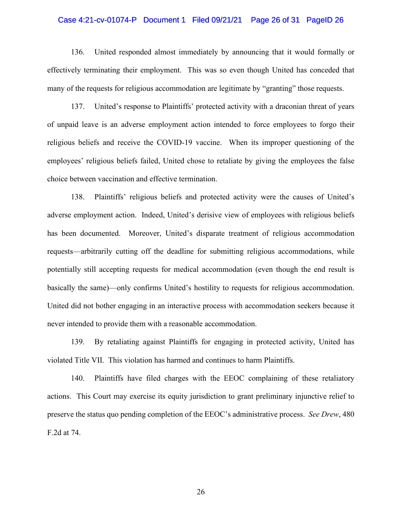#### Case 4:21-cv-01074-P Document 1 Filed 09/21/21 Page 26 of 31 PageID 26

136. United responded almost immediately by announcing that it would formally or effectively terminating their employment. This was so even though United has conceded that many of the requests for religious accommodation are legitimate by "granting" those requests.

137. United's response to Plaintiffs' protected activity with a draconian threat of years of unpaid leave is an adverse employment action intended to force employees to forgo their religious beliefs and receive the COVID-19 vaccine. When its improper questioning of the employees' religious beliefs failed, United chose to retaliate by giving the employees the false choice between vaccination and effective termination.

138. Plaintiffs' religious beliefs and protected activity were the causes of United's adverse employment action. Indeed, United's derisive view of employees with religious beliefs has been documented. Moreover, United's disparate treatment of religious accommodation requests—arbitrarily cutting off the deadline for submitting religious accommodations, while potentially still accepting requests for medical accommodation (even though the end result is basically the same)—only confirms United's hostility to requests for religious accommodation. United did not bother engaging in an interactive process with accommodation seekers because it never intended to provide them with a reasonable accommodation.

139. By retaliating against Plaintiffs for engaging in protected activity, United has violated Title VII. This violation has harmed and continues to harm Plaintiffs.

140. Plaintiffs have filed charges with the EEOC complaining of these retaliatory actions. This Court may exercise its equity jurisdiction to grant preliminary injunctive relief to preserve the status quo pending completion of the EEOC's administrative process. *See Drew*, 480 F.2d at 74.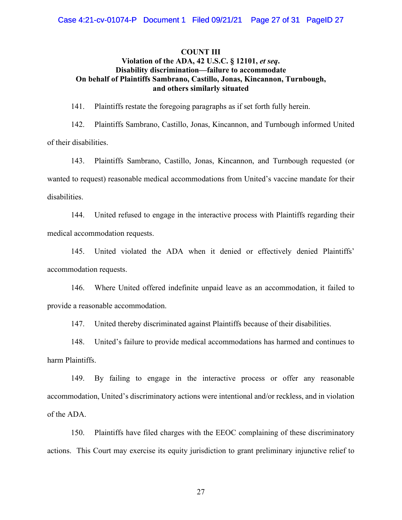## **COUNT III Violation of the ADA, 42 U.S.C. § 12101,** *et seq***. Disability discrimination—failure to accommodate On behalf of Plaintiffs Sambrano, Castillo, Jonas, Kincannon, Turnbough, and others similarly situated**

141. Plaintiffs restate the foregoing paragraphs as if set forth fully herein.

142. Plaintiffs Sambrano, Castillo, Jonas, Kincannon, and Turnbough informed United of their disabilities.

143. Plaintiffs Sambrano, Castillo, Jonas, Kincannon, and Turnbough requested (or wanted to request) reasonable medical accommodations from United's vaccine mandate for their disabilities.

144. United refused to engage in the interactive process with Plaintiffs regarding their medical accommodation requests.

145. United violated the ADA when it denied or effectively denied Plaintiffs' accommodation requests.

146. Where United offered indefinite unpaid leave as an accommodation, it failed to provide a reasonable accommodation.

147. United thereby discriminated against Plaintiffs because of their disabilities.

148. United's failure to provide medical accommodations has harmed and continues to harm Plaintiffs.

149. By failing to engage in the interactive process or offer any reasonable accommodation, United's discriminatory actions were intentional and/or reckless, and in violation of the ADA.

150. Plaintiffs have filed charges with the EEOC complaining of these discriminatory actions. This Court may exercise its equity jurisdiction to grant preliminary injunctive relief to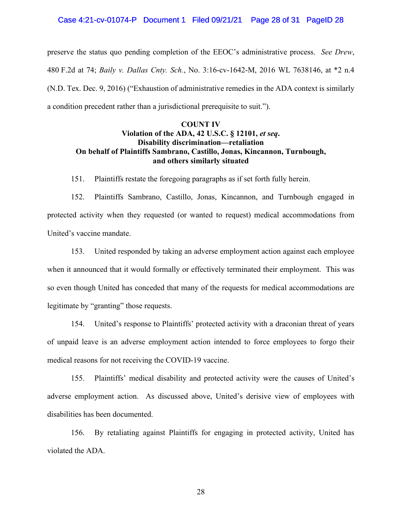preserve the status quo pending completion of the EEOC's administrative process. *See Drew*, 480 F.2d at 74; *Baily v. Dallas Cnty. Sch.*, No. 3:16-cv-1642-M, 2016 WL 7638146, at \*2 n.4 (N.D. Tex. Dec. 9, 2016) ("Exhaustion of administrative remedies in the ADA context is similarly a condition precedent rather than a jurisdictional prerequisite to suit.").

## **COUNT IV Violation of the ADA, 42 U.S.C. § 12101,** *et seq***. Disability discrimination—retaliation On behalf of Plaintiffs Sambrano, Castillo, Jonas, Kincannon, Turnbough, and others similarly situated**

151. Plaintiffs restate the foregoing paragraphs as if set forth fully herein.

152. Plaintiffs Sambrano, Castillo, Jonas, Kincannon, and Turnbough engaged in protected activity when they requested (or wanted to request) medical accommodations from United's vaccine mandate.

153. United responded by taking an adverse employment action against each employee when it announced that it would formally or effectively terminated their employment. This was so even though United has conceded that many of the requests for medical accommodations are legitimate by "granting" those requests.

154. United's response to Plaintiffs' protected activity with a draconian threat of years of unpaid leave is an adverse employment action intended to force employees to forgo their medical reasons for not receiving the COVID-19 vaccine.

155. Plaintiffs' medical disability and protected activity were the causes of United's adverse employment action. As discussed above, United's derisive view of employees with disabilities has been documented.

156. By retaliating against Plaintiffs for engaging in protected activity, United has violated the ADA.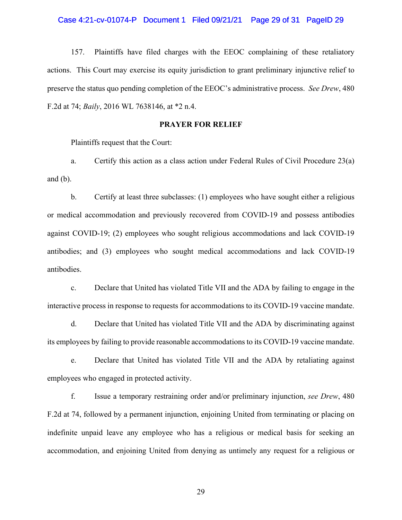#### Case 4:21-cv-01074-P Document 1 Filed 09/21/21 Page 29 of 31 PageID 29

157. Plaintiffs have filed charges with the EEOC complaining of these retaliatory actions. This Court may exercise its equity jurisdiction to grant preliminary injunctive relief to preserve the status quo pending completion of the EEOC's administrative process. *See Drew*, 480 F.2d at 74; *Baily*, 2016 WL 7638146, at \*2 n.4.

## **PRAYER FOR RELIEF**

Plaintiffs request that the Court:

a. Certify this action as a class action under Federal Rules of Civil Procedure 23(a) and (b).

b. Certify at least three subclasses: (1) employees who have sought either a religious or medical accommodation and previously recovered from COVID-19 and possess antibodies against COVID-19; (2) employees who sought religious accommodations and lack COVID-19 antibodies; and (3) employees who sought medical accommodations and lack COVID-19 antibodies.

c. Declare that United has violated Title VII and the ADA by failing to engage in the interactive process in response to requests for accommodations to its COVID-19 vaccine mandate.

d. Declare that United has violated Title VII and the ADA by discriminating against its employees by failing to provide reasonable accommodations to its COVID-19 vaccine mandate.

e. Declare that United has violated Title VII and the ADA by retaliating against employees who engaged in protected activity.

f. Issue a temporary restraining order and/or preliminary injunction, *see Drew*, 480 F.2d at 74, followed by a permanent injunction, enjoining United from terminating or placing on indefinite unpaid leave any employee who has a religious or medical basis for seeking an accommodation, and enjoining United from denying as untimely any request for a religious or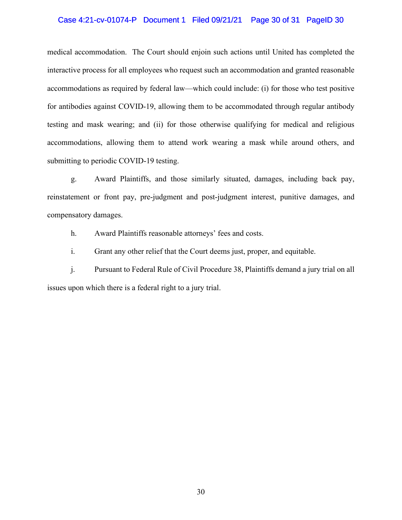## Case 4:21-cv-01074-P Document 1 Filed 09/21/21 Page 30 of 31 PageID 30

medical accommodation. The Court should enjoin such actions until United has completed the interactive process for all employees who request such an accommodation and granted reasonable accommodations as required by federal law—which could include: (i) for those who test positive for antibodies against COVID-19, allowing them to be accommodated through regular antibody testing and mask wearing; and (ii) for those otherwise qualifying for medical and religious accommodations, allowing them to attend work wearing a mask while around others, and submitting to periodic COVID-19 testing.

g. Award Plaintiffs, and those similarly situated, damages, including back pay, reinstatement or front pay, pre-judgment and post-judgment interest, punitive damages, and compensatory damages.

h. Award Plaintiffs reasonable attorneys' fees and costs.

i. Grant any other relief that the Court deems just, proper, and equitable.

j. Pursuant to Federal Rule of Civil Procedure 38, Plaintiffs demand a jury trial on all issues upon which there is a federal right to a jury trial.